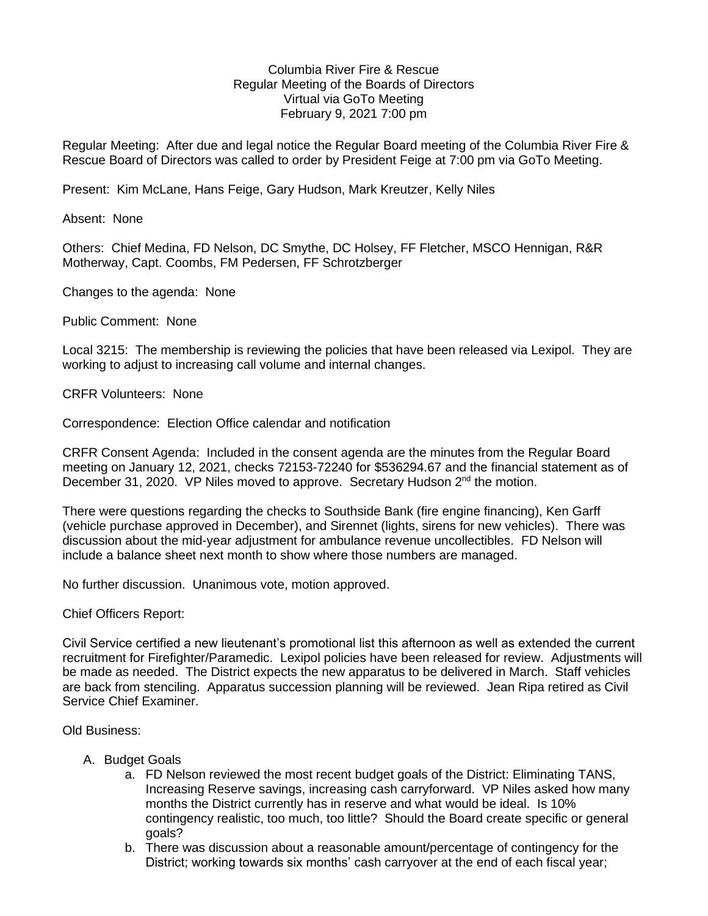## Columbia River Fire & Rescue Regular Meeting of the Boards of Directors Virtual via GoTo Meeting February 9, 2021 7:00 pm

Regular Meeting: After due and legal notice the Regular Board meeting of the Columbia River Fire & Rescue Board of Directors was called to order by President Feige at 7:00 pm via GoTo Meeting.

Present: Kim McLane, Hans Feige, Gary Hudson, Mark Kreutzer, Kelly Niles

Absent: None

Others: Chief Medina, FD Nelson, DC Smythe, DC Holsey, FF Fletcher, MSCO Hennigan, R&R Motherway, Capt. Coombs, FM Pedersen, FF Schrotzberger

Changes to the agenda: None

Public Comment: None

Local 3215: The membership is reviewing the policies that have been released via Lexipol. They are working to adjust to increasing call volume and internal changes.

CRFR Volunteers: None

Correspondence: Election Office calendar and notification

CRFR Consent Agenda: Included in the consent agenda are the minutes from the Regular Board meeting on January 12, 2021, checks 72153-72240 for \$536294.67 and the financial statement as of December 31, 2020. VP Niles moved to approve. Secretary Hudson 2<sup>nd</sup> the motion.

There were questions regarding the checks to Southside Bank (fire engine financing), Ken Garff (vehicle purchase approved in December), and Sirennet (lights, sirens for new vehicles). There was discussion about the mid-year adjustment for ambulance revenue uncollectibles. FD Nelson will include a balance sheet next month to show where those numbers are managed.

No further discussion. Unanimous vote, motion approved.

Chief Officers Report:

Civil Service certified a new lieutenant's promotional list this afternoon as well as extended the current recruitment for Firefighter/Paramedic. Lexipol policies have been released for review. Adjustments will be made as needed. The District expects the new apparatus to be delivered in March. Staff vehicles are back from stenciling. Apparatus succession planning will be reviewed. Jean Ripa retired as Civil Service Chief Examiner.

Old Business:

- A. Budget Goals
	- a. FD Nelson reviewed the most recent budget goals of the District: Eliminating TANS, Increasing Reserve savings, increasing cash carryforward. VP Niles asked how many months the District currently has in reserve and what would be ideal. Is 10% contingency realistic, too much, too little? Should the Board create specific or general goals?
	- b. There was discussion about a reasonable amount/percentage of contingency for the District; working towards six months' cash carryover at the end of each fiscal year;